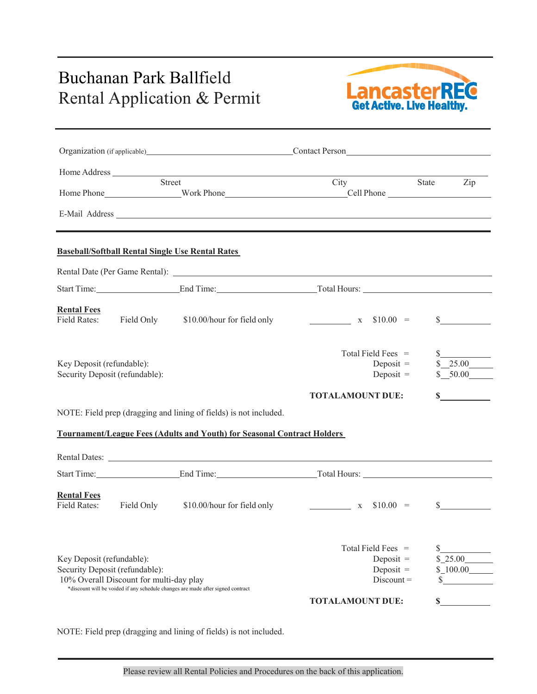## Buchanan Park Ballfield Rental Application & Permit<br>Rental Application & Permit<br>Get Active. Live Healthy.



|                                                                                                                                                                                           |            |                                                                                | Organization (if applicable) Contact Person        |                     |
|-------------------------------------------------------------------------------------------------------------------------------------------------------------------------------------------|------------|--------------------------------------------------------------------------------|----------------------------------------------------|---------------------|
|                                                                                                                                                                                           |            |                                                                                |                                                    |                     |
|                                                                                                                                                                                           |            | Street                                                                         | City                                               | State<br>Zip        |
|                                                                                                                                                                                           |            |                                                                                |                                                    |                     |
|                                                                                                                                                                                           |            | <b>Baseball/Softball Rental Single Use Rental Rates</b>                        |                                                    |                     |
|                                                                                                                                                                                           |            |                                                                                |                                                    |                     |
|                                                                                                                                                                                           |            |                                                                                |                                                    |                     |
| <b>Rental Fees</b>                                                                                                                                                                        |            | Field Rates: Field Only \$10.00/hour for field only                            | $x \quad $10.00 =$                                 | $\mathbb{S}$        |
| Key Deposit (refundable):<br>Security Deposit (refundable):                                                                                                                               |            |                                                                                | Total Field Fees $=$<br>Deposit $=$<br>Deposit $=$ | \$25.00<br>\$ 50.00 |
|                                                                                                                                                                                           |            |                                                                                | <b>TOTALAMOUNT DUE:</b>                            | $\mathbf S$         |
|                                                                                                                                                                                           |            | NOTE: Field prep (dragging and lining of fields) is not included.              |                                                    |                     |
|                                                                                                                                                                                           |            | <b>Tournament/League Fees (Adults and Youth) for Seasonal Contract Holders</b> |                                                    |                     |
|                                                                                                                                                                                           |            |                                                                                |                                                    |                     |
|                                                                                                                                                                                           |            |                                                                                | Start Time: End Time: End Time: Total Hours:       |                     |
| <b>Rental Fees</b><br><b>Field Rates:</b>                                                                                                                                                 | Field Only | \$10.00/hour for field only                                                    | $x \quad $10.00 =$                                 | $\mathbb{S}$        |
| Key Deposit (refundable):<br>Security Deposit (refundable):<br>10% Overall Discount for multi-day play<br>*discount will be voided if any schedule changes are made after signed contract |            |                                                                                | Total Field Fees =<br>Deposit $=$<br>Deposit $=$   | \$25.00<br>\$100.00 |
|                                                                                                                                                                                           |            |                                                                                | $Discount =$                                       |                     |

NOTE: Field prep (dragging and lining of fields) is not included.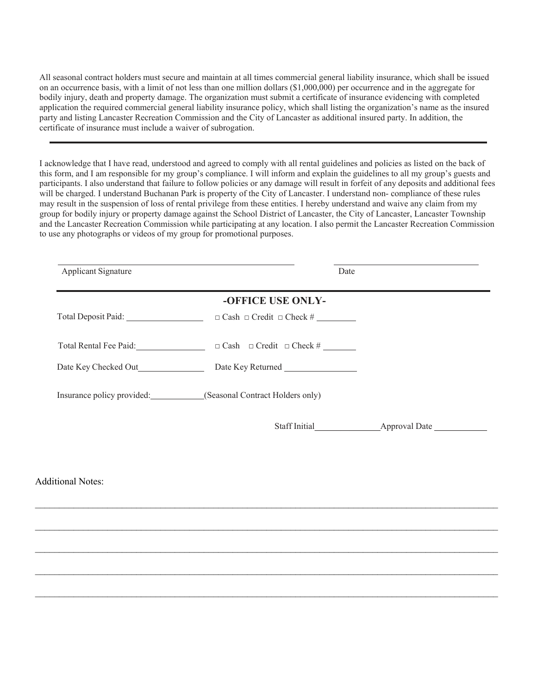All seasonal contract holders must secure and maintain at all times commercial general liability insurance, which shall be issued on an occurrence basis, with a limit of not less than one million dollars (\$1,000,000) per occurrence and in the aggregate for bodily injury, death and property damage. The organization must submit a certificate of insurance evidencing with completed application the required commercial general liability insurance policy, which shall listing the organization's name as the insured party and listing Lancaster Recreation Commission and the City of Lancaster as additional insured party. In addition, the certificate of insurance must include a waiver of subrogation.

I acknowledge that I have read, understood and agreed to comply with all rental guidelines and policies as listed on the back of this form, and I am responsible for my group's compliance. I will inform and explain the guidelines to all my group's guests and participants. I also understand that failure to follow policies or any damage will result in forfeit of any deposits and additional fees will be charged. I understand Buchanan Park is property of the City of Lancaster. I understand non- compliance of these rules may result in the suspension of loss of rental privilege from these entities. I hereby understand and waive any claim from my group for bodily injury or property damage against the School District of Lancaster, the City of Lancaster, Lancaster Township and the Lancaster Recreation Commission while participating at any location. I also permit the Lancaster Recreation Commission to use any photographs or videos of my group for promotional purposes.

| Applicant Signature                                           | Date                                                        |
|---------------------------------------------------------------|-------------------------------------------------------------|
|                                                               | -OFFICE USE ONLY-                                           |
|                                                               |                                                             |
| Total Rental Fee Paid: The Contract of Total Rental Fee Paid: | $\Box$ Cash $\Box$ Credit $\Box$ Check #                    |
|                                                               |                                                             |
|                                                               | Insurance policy provided: (Seasonal Contract Holders only) |
|                                                               |                                                             |
|                                                               |                                                             |
|                                                               |                                                             |

 $\_$ 

 $\_$ 

 $\_$ 

 $\_$ 

 $\_$ 

Additional Notes: